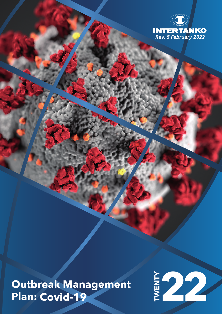

**Outbreak Management Outbreak Management**<br>Plan: Covid-19

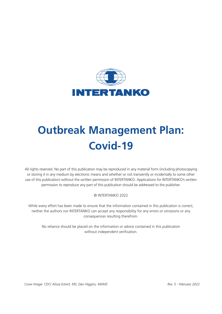

# **Outbreak Management Plan: Covid-19**

All rights reserved. No part of this publication may be reproduced in any material form (including photocopying or storing it in any medium by electronic means and whether or not transiently or incidentally to some other use of this publication) without the written permission of INTERTANKO. Applications for INTERTANKO's written permission to reproduce any part of this publication should be addressed to the publisher.

#### © INTERTANKO 2022

While every effort has been made to ensure that the information contained in this publication is correct, neither the authors nor INTERTANKO can accept any responsibility for any errors or omissions or any consequences resulting therefrom.

No reliance should be placed on the information or advice contained in this publication without independent verification.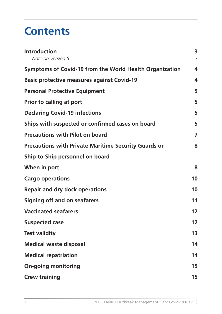## **Contents**

| <b>Introduction</b><br>Note on Version 5                    | 3<br>3  |
|-------------------------------------------------------------|---------|
| Symptoms of Covid-19 from the World Health Organization     | 4       |
| <b>Basic protective measures against Covid-19</b>           | 4       |
| <b>Personal Protective Equipment</b>                        | 5       |
| Prior to calling at port                                    | 5       |
| <b>Declaring Covid-19 infections</b>                        | 5       |
| Ships with suspected or confirmed cases on board            | 5       |
| <b>Precautions with Pilot on board</b>                      | 7       |
| <b>Precautions with Private Maritime Security Guards or</b> | 8       |
| Ship-to-Ship personnel on board                             |         |
| When in port                                                | 8       |
| <b>Cargo operations</b>                                     | 10      |
| <b>Repair and dry dock operations</b>                       | 10      |
| <b>Signing off and on seafarers</b>                         | 11      |
| <b>Vaccinated seafarers</b>                                 | 12      |
| <b>Suspected case</b>                                       | $12 \,$ |
| <b>Test validity</b>                                        | 13      |
| <b>Medical waste disposal</b>                               | 14      |
| <b>Medical repatriation</b>                                 | 14      |
| <b>On-going monitoring</b>                                  | 15      |
| <b>Crew training</b>                                        | 15      |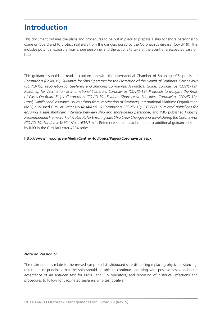### **Introduction**

This document outlines the plans and procedures to be put in place to prepare a ship for shore personnel to come on board and to protect seafarers from the dangers posed by the Coronavirus disease (Covid-19). This includes potential exposure from shore personnel and the actions to take in the event of a suspected case on board.

This guidance should be read in conjunction with the International Chamber of Shipping (ICS) published *Coronavirus (Covid-19) Guidance for Ship Operators for the Protection of the Health of Seafarers, Coronavirus (COVID-19): Vaccination for Seafarers and Shipping Companies: A Practical Guide, Coronavirus (COVID-19): Roadmap for Vaccination of International Seafarers, Coronavirus (COVID-19): Protocols to Mitigate the Risks of Cases On Board Ships, Coronavirus (COVID-19): Seafarer Shore Leave Principles, Coronavirus (COVID-19): Legal, Liability and Insurance Issues arising from Vaccination of Seafarers,* International Maritime Organization (IMO) published Circular Letter No.4204/Add.16 *Coronavirus (COVID 19) – COVID-19 related guidelines for ensuring a safe shipboard interface between ship and shore-based personnel*, and IMO published *Industry Recommended Framework of Protocols for Ensuring Safe Ship Crew Changes and Travel During the Coronavirus (COVID-19) Pandemic* MSC.1/Circ.1636/Rev.1. Reference should also be made to additional guidance issued by IMO in the Circular Letter 4204 series:

#### **http://www.imo.org/en/MediaCentre/HotTopics/Pages/Coronavirus.aspx**

#### *Note on Version 5:*

The main updates relate to the revised symptom list, shipboard safe distancing replacing physical distancing, reiteration of principles that the ship should be able to continue operating with positive cases on board, acceptance of an anti-gen test for PMSC and STS operators, and reporting of historical infections and procedures to follow for vaccinated seafarers who test positive.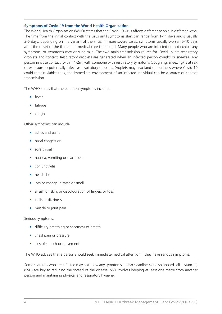#### **Symptoms of Covid-19 from the World Health Organization**

The World Health Organization (WHO) states that the Covid-19 virus affects different people in different ways. The time from the initial contact with the virus until symptoms start can range from 1-14 days and is usually 3-6 days, depending on the variant of the virus. In more severe cases, symptoms usually worsen 5-10 days after the onset of the illness and medical care is required. Many people who are infected do not exhibit any symptoms, or symptoms may only be mild. The two main transmission routes for Covid-19 are respiratory droplets and contact. Respiratory droplets are generated when an infected person coughs or sneezes. Any person in close contact (within 1-2m) with someone with respiratory symptoms (coughing, sneezing) is at risk of exposure to potentially infective respiratory droplets. Droplets may also land on surfaces where Covid-19 could remain viable; thus, the immediate environment of an infected individual can be a source of contact transmission.

The WHO states that the common symptoms include:

- fever
- fatique
- cough

Other symptoms can include:

- aches and pains
- nasal congestion
- sore throat
- nausea, vomiting or diarrhoea
- conjunctivitis
- headache
- loss or change in taste or smell
- a rash on skin, or discolouration of fingers or toes
- chills or dizziness
- muscle or joint pain

#### Serious symptoms:

- difficulty breathing or shortness of breath
- chest pain or pressure
- loss of speech or movement

The WHO advises that a person should seek immediate medical attention if they have serious symptoms.

Some seafarers who are infected may not show any symptoms and so cleanliness and shipboard self-distancing (SSD) are key to reducing the spread of the disease. SSD involves keeping at least one metre from another person and maintaining physical and respiratory hygiene.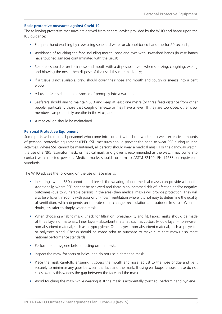#### **Basic protective measures against Covid-19**

The following protective measures are derived from general advice provided by the WHO and based upon the ICS guidance:

- Frequent hand washing by crew using soap and water or alcohol-based hand rub for 20 seconds;
- Avoidance of touching the face including mouth, nose and eyes with unwashed hands (in case hands have touched surfaces contaminated with the virus);
- Seafarers should cover their nose and mouth with a disposable tissue when sneezing, coughing, wiping and blowing the nose, then dispose of the used tissue immediately;
- If a tissue is not available, crew should cover their nose and mouth and cough or sneeze into a bent elbow;
- All used tissues should be disposed of promptly into a waste bin;
- Seafarers should aim to maintain SSD and keep at least one metre (or three feet) distance from other people, particularly those that cough or sneeze or may have a fever. If they are too close, other crew members can potentially breathe in the virus; and
- A medical log should be maintained.

#### **Personal Protective Equipment**

Some ports will require all personnel who come into contact with shore workers to wear extensive amounts of personal protective equipment (PPE). SSD measures should prevent the need to wear PPE during routine activities. Where SSD cannot be maintained, all persons should wear a medical mask. For the gangway watch, the use of a N95 respirator mask, or medical mask and gloves is recommended as the watch may come into contact with infected persons. Medical masks should conform to ASTM F2100, EN 14683, or equivalent standards.

The WHO advises the following on the use of face masks:

- In settings where SSD cannot be achieved, the wearing of non-medical masks can provide a benefit. Additionally, where SSD cannot be achieved and there is an increased risk of infection and/or negative outcomes (due to vulnerable persons in the area) then medical masks will provide protection. They will also be efficient in rooms with poor or unknown ventilation where it is not easy to determine the quality of ventilation, which depends on the rate of air change, recirculation and outdoor fresh air. When in doubt, it's safer to simply wear a mask.
- When choosing a fabric mask, check for filtration, breathability and fit. Fabric masks should be made of three layers of materials. Inner layer – absorbent material, such as cotton. Middle layer – non-woven non-absorbent material, such as polypropylene. Outer layer – non-absorbent material, such as polyester or polyester blend. Checks should be made prior to purchase to make sure that masks also meet national performance standards.
- Perform hand hygiene before putting on the mask.
- Inspect the mask for tears or holes, and do not use a damaged mask.
- Place the mask carefully, ensuring it covers the mouth and nose, adjust to the nose bridge and tie it securely to minimise any gaps between the face and the mask. If using ear loops, ensure these do not cross over as this widens the gap between the face and the mask.
- Avoid touching the mask while wearing it. If the mask is accidentally touched, perform hand hygiene.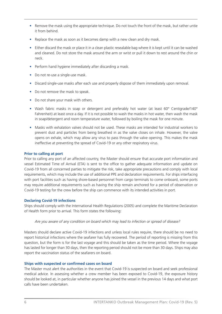- Remove the mask using the appropriate technique. Do not touch the front of the mask, but rather untie it from behind.
- Replace the mask as soon as it becomes damp with a new clean and dry mask.
- Either discard the mask or place it in a clean plastic resealable bag where it is kept until it can be washed and cleaned. Do not store the mask around the arm or wrist or pull it down to rest around the chin or neck.
- Perform hand hygiene immediately after discarding a mask.
- Do not re-use a single-use mask.
- Discard single-use masks after each use and properly dispose of them immediately upon removal.
- Do not remove the mask to speak.
- Do not share your mask with others.
- Wash fabric masks in soap or detergent and preferably hot water (at least 60° Centigrade/140° Fahrenheit) at least once a day. If it is not possible to wash the masks in hot water, then wash the mask in soap/detergent and room temperature water, followed by boiling the mask for one minute.
- Masks with exhalation valves should not be used. These masks are intended for industrial workers to prevent dust and particles from being breathed in as the valve closes on inhale. However, the valve opens on exhale, which may allow any virus to pass through the valve opening. This makes the mask ineffective at preventing the spread of Covid-19 or any other respiratory virus.

#### **Prior to calling at port**

Prior to calling any port of an affected country, the Master should ensure that accurate port information and vessel Estimated Time of Arrival (ETA) is sent to the office to gather adequate information and update on Covid-19 from all concerned parties to mitigate the risk, take appropriate precautions and comply with local requirements, which may include the use of additional PPE and declaration requirements. For ships interfacing with port facilities such as having shore-based personnel from cargo terminals to come onboard, some ports may require additional requirements such as having the ship remain anchored for a period of observation or Covid-19 testing for the crew before the ship can commence with its intended activities in port.

#### **Declaring Covid-19 infections**

Ships should comply with the International Health Regulations (2005) and complete the Maritime Declaration of Health form prior to arrival. This form states the following:

#### *Are you aware of any condition on board which may lead to infection or spread of disease?*

Masters should declare active Covid-19 infections and unless local rules require, there should be no need to report historical infections where the seafarer has fully recovered. The period of reporting is missing from this question, but the form is for the last voyage and this should be taken as the time period. Where the voyage has lasted for longer than 30 days, then the reporting period should not be more than 30 days. Ships may also report the vaccination status of the seafarers on board.

#### **Ships with suspected or confirmed cases on board**

The Master must alert the authorities in the event that Covid-19 is suspected on board and seek professional medical advice. In assessing whether a crew member has been exposed to Covid-19, the exposure history should be looked at, in particular whether anyone has joined the vessel in the previous 14 days and what port calls have been undertaken.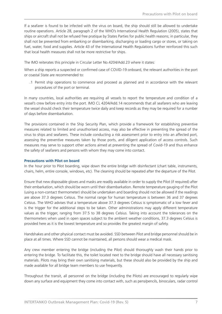If a seafarer is found to be infected with the virus on board, the ship should still be allowed to undertake routine operations. Article 28, paragraph 2 of the WHO's International Health Regulation (2005), states that ships or aircraft shall not be refused free pratique by States Parties for public health reasons; in particular, they shall not be prevented from embarking or disembarking, discharging or loading cargo or stores, or taking on fuel, water, food and supplies. Article 43 of the International Health Regulations further reinforced this such that local health measures shall not be more restrictive for ships.

The IMO reiterates this principle in Circular Letter No.4204/Add.23 where it states:

When a ship reports a suspected or confirmed case of COVID-19 onboard, the relevant authorities in the port or coastal State are recommended to:

.1 Permit ship operations to commence and proceed as planned and in accordance with the relevant procedures of the port or terminal.

In many countries, local authorities are requiring all vessels to report the temperature and condition of a vessel's crew before entry into the port. IMO CL 4204/Add.14 recommends that all seafarers who are leaving the vessel should check their temperature twice daily and keep records as they may be required for a number of days before disembarkation.

The provisions contained in the Ship Security Plan, which provide a framework for establishing preventive measures related to limited and unauthorised access, may also be effective in preventing the spread of the virus to ships and seafarers. These include conducting a risk assessment prior to entry into an affected port, assessing the preventive measures taken by those ports, and diligent application of access controls. Such measures may serve to support other actions aimed at preventing the spread of Covid-19 and thus enhance the safety of seafarers and persons with whom they may come into contact.

#### **Precautions with Pilot on board**

In the hour prior to Pilot boarding, wipe down the entire bridge with disinfectant (chart table, instruments, chairs, helm, entire console, windows, etc). The cleaning should be repeated after the departure of the Pilot.

Ensure that new disposable gloves and masks are readily available in order to supply the Pilot (if required) after their embarkation, which should be worn until their disembarkation. Remote temperature gauging of the Pilot (using a non-contact thermometer) should be undertaken and boarding should not be allowed if the readings are above 37.3 degrees Celsius. The normal range for human temperature is between 36 and 37 degrees Celsius. The WHO advises that a temperature above 37.3 degrees Celsius is symptomatic of a low fever and is the trigger for the additional steps to be taken. Other administrations may apply different temperature values as the trigger, ranging from 37.5 to 38 degrees Celsius. Taking into account the tolerances on the thermometers when used in open spaces subject to the ambient weather conditions, 37.3 degrees Celsius is provided here as it is the lowest temperature and so provides the greatest margin of safety.

Handshakes and other physical contact must be avoided. SSD between Pilot and bridge personnel should be in place at all times. Where SSD cannot be maintained, all persons should wear a medical mask.

Any crew member entering the bridge (including the Pilot) should thoroughly wash their hands prior to entering the bridge. To facilitate this, the toilet located next to the bridge should have all necessary sanitising materials. Pilots may bring their own sanitising materials, but these should also be provided by the ship and made available for all bridge team members to use frequently.

Throughout the transit, all personnel on the bridge (including the Pilots) are encouraged to regularly wipe down any surface and equipment they come into contact with, such as pens/pencils, binoculars, radar control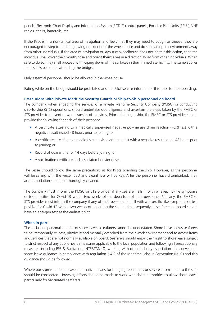panels, Electronic Chart Display and Information System (ECDIS) control panels, Portable Pilot Units (PPUs), VHF radios, chairs, handrails, etc.

If the Pilot is in a non-critical area of navigation and feels that they may need to cough or sneeze, they are encouraged to step to the bridge wing or exterior of the wheelhouse and do so in an open environment away from other individuals. If the area of navigation or layout of wheelhouse does not permit this action, then the individual shall cover their mouth/nose and orient themselves in a direction away from other individuals. When safe to do so, they shall proceed with wiping down of the surfaces in their immediate vicinity. The same applies to all ship's personnel attending the bridge.

Only essential personnel should be allowed in the wheelhouse.

Eating while on the bridge should be prohibited and the Pilot service informed of this prior to their boarding.

#### **Precautions with Private Maritime Security Guards or Ship-to-Ship personnel on board**

The company, when engaging the services of a Private Maritime Security Company (PMSC) or conducting ship-to-ship (STS) operations, should undertake due diligence and ascertain the steps taken by the PMSC or STS provider to prevent onward transfer of the virus. Prior to joining a ship, the PMSC or STS provider should provide the following for each of their personnel:

- A certificate attesting to a medically supervised negative polymerase chain reaction (PCR) test with a negative result issued 48 hours prior to joining; or
- A certificate attesting to a medically supervised anti-gen test with a negative result issued 48 hours prior to joining; or
- Record of quarantine for 14 days before joining; or
- A vaccination certificate and associated booster dose.

The vessel should follow the same precautions as for Pilots boarding the ship. However, as the personnel will be sailing with the vessel, SSD and cleanliness will be key. After the personnel have disembarked, their accommodation should be thoroughly cleaned.

The company must inform the PMSC or STS provider if any seafarer falls ill with a fever, flu-like symptoms or tests positive for Covid-19 within two weeks of the departure of their personnel. Similarly, the PMSC or STS provider must inform the company if any of their personnel fall ill with a fever, flu-like symptoms or test positive for Covid-19 within two weeks of departing the ship and consequently all seafarers on board should have an anti-gen test at the earliest point.

#### **When in port**

The social and personal benefits of shore leave to seafarers cannot be understated. Shore leave allows seafarers to be, temporarily at least, physically and mentally detached from their work environment and to access items and services that are not normally available on board. Seafarers should enjoy their right to shore leave subject to strict respect of any public health measures applicable to the local population and following all precautionary measures including PPE & Sanitation. INTERTANKO, working with other industry associations, has developed shore leave guidance in compliance with regulation 2.4.2 of the Maritime Labour Convention (MLC) and this guidance should be followed.

Where ports prevent shore leave, alternative means for bringing relief items or services from shore to the ship should be considered. However, efforts should be made to work with shore authorities to allow shore leave, particularly for vaccinated seafarers.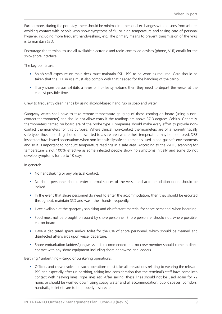Furthermore, during the port stay, there should be minimal interpersonal exchanges with persons from ashore, avoiding contact with people who show symptoms of flu or high temperature and taking care of personal hygiene, including more frequent handwashing, etc. The primary means to prevent transmission of the virus is to maintain SSD.

Encourage the terminal to use all available electronic and radio-controlled devices (phone, VHF, email) for the ship- shore interface.

The key points are:

- Ship's staff exposure on main deck must maintain SSD. PPE to be worn as required. Care should be taken that the PPE in use must also comply with that needed for the handling of the cargo.
- If any shore person exhibits a fever or flu-like symptoms then they need to depart the vessel at the earliest possible time.

Crew to frequently clean hands by using alcohol-based hand rub or soap and water.

Gangway watch shall have to take remote temperature gauging of those coming on board (using a noncontact thermometer) and should not allow entry if the readings are above 37.3 degrees Celsius. Generally, thermometers carried on board are of the probe type. Companies should make every effort to provide noncontact thermometers for this purpose. Where clinical non-contact thermometers are of a non-intrinsically safe type, those boarding should be escorted to a safe area where their temperature may be monitored. SIRE inspectors have issued observations when non-intrinsically safe equipment is used in non-gas safe environments and so it is important to conduct temperature readings in a safe area. According to the WHO, scanning for temperature is not 100% effective as some infected people show no symptoms initially and some do not develop symptoms for up to 10 days.

In general:

- No handshaking or any physical contact.
- No shore personnel should enter internal spaces of the vessel and accommodation doors should be locked.
- In the event that shore personnel do need to enter the accommodation, then they should be escorted throughout, maintain SSD and wash their hands frequently.
- Have available at the gangway sanitising and disinfectant material for shore personnel when boarding.
- Food must not be brought on board by shore personnel. Shore personnel should not, where possible, eat on board.
- Have a dedicated space and/or toilet for the use of shore personnel, which should be cleaned and disinfected afterwards upon vessel departure.
- Shore embarkation ladders/gangways: It is recommended that no crew member should come in direct contact with any shore equipment including shore gangways and ladders.

Berthing / unberthing – cargo or bunkering operations:

• Officers and crew involved in such operations must take all precautions relating to wearing the relevant PPE and especially after un-berthing, taking into consideration that the terminal's staff have come into contact with heaving lines, rope lines etc. After sailing, these lines should not be used again for 72 hours or should be washed down using soapy water and all accommodation, public spaces, corridors, handrails, toilet etc are to be properly disinfected.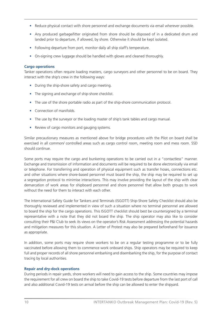- Reduce physical contact with shore personnel and exchange documents via email wherever possible.
- Any produced garbage/litter originated from shore should be disposed of in a dedicated drum and landed prior to departure, if allowed, by shore. Otherwise it should be kept isolated.
- Following departure from port, monitor daily all ship staff's temperature.
- On-signing crew luggage should be handled with gloves and cleaned thoroughly.

#### **Cargo operations**

Tanker operations often require loading masters, cargo surveyors and other personnel to be on board. They interact with the ship's crew in the following ways:

- During the ship-shore safety and cargo meeting.
- The signing and exchange of ship-shore checklist.
- The use of the shore portable radio as part of the ship-shore communication protocol.
- Connection of manifolds.
- The use by the surveyor or the loading master of ship's tank tables and cargo manual.
- Review of cargo monitors and gauging systems.

Similar precautionary measures as mentioned above for bridge procedures with the Pilot on board shall be exercised in all common/ controlled areas such as cargo control room, meeting room and mess room. SSD should continue.

Some ports may require the cargo and bunkering operations to be carried out in a "contactless" manner. Exchange and transmission of information and documents will be required to be done electronically via email or telephone. For transferring and operation of physical equipment such as transfer hoses, connections etc. and other situations where shore-based personnel must board the ship, the ship may be required to set up a segregation protocol to minimise interactions. This may involve providing the layout of the ship with clear demarcation of work areas for shipboard personnel and shore personnel that allow both groups to work without the need for them to interact with each other.

The International Safety Guide for Tankers and Terminals (ISGOTT) Ship-Shore Safety Checklist should also be thoroughly reviewed and implemented in view of such a situation where no terminal personnel are allowed to board the ship for the cargo operations. This ISGOTT checklist should best be countersigned by a terminal representative with a note that they did not board the ship. The ship operator may also like to consider consulting their P&I Club to seek its views on the operator's Risk Assessment addressing the potential hazards and mitigation measures for this situation. A Letter of Protest may also be prepared beforehand for issuance as appropriate.

In addition, some ports may require shore workers to be on a regular testing programme or to be fully vaccinated before allowing them to commence work onboard ships. Ship operators may be required to keep full and proper records of all shore personnel embarking and disembarking the ship, for the purpose of contact tracing by local authorities.

#### **Repair and dry-dock operations**

During periods in repair yards, shore workers will need to gain access to the ship. Some countries may impose the requirement for all crew on board the ship to take Covid-19 tests before departure from the last port of call and also additional Covid-19 tests on arrival before the ship can be allowed to enter the shipyard.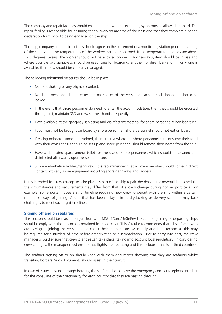The company and repair facilities should ensure that no workers exhibiting symptoms be allowed onboard. The repair facility is responsible for ensuring that all workers are free of the virus and that they complete a health declaration form prior to being engaged on the ship.

The ship, company and repair facilities should agree on the placement of a monitoring station prior to boarding of the ship where the temperatures of the workers can be monitored. If the temperature readings are above 37.3 degrees Celsius, the worker should not be allowed onboard. A one-way system should be in use and where possible two gangways should be used, one for boarding, another for disembarkation. If only one is available, then flow should be carefully managed.

The following additional measures should be in place:

- No handshaking or any physical contact.
- No shore personnel should enter internal spaces of the vessel and accommodation doors should be locked.
- In the event that shore personnel do need to enter the accommodation, then they should be escorted throughout, maintain SSD and wash their hands frequently.
- Have available at the gangway sanitising and disinfectant material for shore personnel when boarding.
- Food must not be brought on board by shore personnel. Shore personnel should not eat on board.
- If eating onboard cannot be avoided, then an area where the shore personnel can consume their food with their own utensils should be set up and shore personnel should remove their waste from the ship.
- Have a dedicated space and/or toilet for the use of shore personnel, which should be cleaned and disinfected afterwards upon vessel departure.
- Shore embarkation ladders/gangways: It is recommended that no crew member should come in direct contact with any shore equipment including shore gangways and ladders.

If it is intended for crew change to take place as part of the ship repair, dry docking or newbuilding schedule, the circumstances and requirements may differ from that of a crew change during normal port calls. For example, some ports impose a strict timeline requiring new crew to depart with the ship within a certain number of days of joining. A ship that has been delayed in its drydocking or delivery schedule may face challenges to meet such tight timelines.

#### **Signing off and on seafarers**

This section should be read in conjunction with MSC.1/Circ.1636/Rev.1. Seafarers joining or departing ships should comply with the protocols contained in this circular. This Circular recommends that all seafarers who are leaving or joining the vessel should check their temperature twice daily and keep records as this may be required for a number of days before embarkation or disembarkation. Prior to entry into port, the crew manager should ensure that crew changes can take place, taking into account local regulations. In considering crew changes, the manager must ensure that flights are operating and this includes transits in third countries.

The seafarer signing off or on should keep with them documents showing that they are seafarers whilst transiting borders. Such documents should assist in their transit.

In case of issues passing through borders, the seafarer should have the emergency contact telephone number for the consulate of their nationality for each country that they are passing through.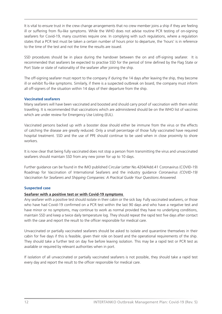It is vital to ensure trust in the crew change arrangements that no crew member joins a ship if they are feeling ill or suffering from flu-like symptoms. While the WHO does not advise routine PCR testing of on-signing seafarers for Covid-19, many countries require one. In complying with such regulations, where a regulation states that a PCR test must be taken a certain number of hours prior to departure, the 'hours' is in reference to the time of the test and not the time the results are issued.

SSD procedures should be in place during the handover between the on and off-signing seafarer. It is recommended that seafarers be expected to practise SSD for the period of time defined by the Flag State or Port State or state of nationality of the seafarer after joining the ship.

The off-signing seafarer must report to the company if during the 14 days after leaving the ship, they become ill or exhibit flu-like symptoms. Similarly, if there is a suspected outbreak on board, the company must inform all off-signers of the situation within 14 days of their departure from the ship.

#### **Vaccinated seafarers**

Many seafarers will have been vaccinated and boosted and should carry proof of vaccination with them whilst travelling. It is recommended that vaccinations which are administered should be on the WHO list of vaccines which are under review for Emergency Use Listing (EUL).

Vaccinated persons backed up with a booster dose should either be immune from the virus or the effects of catching the disease are greatly reduced. Only a small percentage of those fully vaccinated have required hospital treatment. SSD and the use of PPE should continue to be used when in close proximity to shore workers.

It is now clear that being fully vaccinated does not stop a person from transmitting the virus and unvaccinated seafarers should maintain SSD from any new joiner for up to 10 days.

Further guidance can be found in the IMO published Circular Letter No.4204/Add.41 Coronavirus (COVID-19) Roadmap for Vaccination of International Seafarers and the industry guidance *Coronavirus (COVID-19) Vaccination for Seafarers and Shipping Companies: A Practical Guide Your Questions Answered.*

#### **Suspected case**

#### **Seafarer with a positive test or with Covid-19 symptoms**

Any seafarer with a positive test should isolate in their cabin or the sick bay. Fully vaccinated seafarers, or those who have had Covid-19 confirmed on a PCR test within the last 90 days and who have a negative test and have minor or no symptoms, may continue to work as normal provided they have no underlying conditions, maintain SSD and keep a twice daily temperature log. They should repeat the rapid test five days after contact with the case and report the result to the officer responsible for medical care.

Unvaccinated or partially vaccinated seafarers should be asked to isolate and quarantine themselves in their cabin for five days if this is feasible, given their role on board and the operational requirements of the ship. They should take a further test on day five before leaving isolation. This may be a rapid test or PCR test as available or required by relevant authorities when in port.

If isolation of all unvaccinated or partially vaccinated seafarers is not possible, they should take a rapid test every day and report the result to the officer responsible for medical care.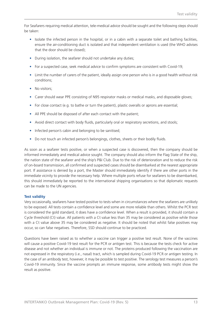For Seafarers requiring medical attention, tele-medical advice should be sought and the following steps should be taken:

- Isolate the infected person in the hospital, or in a cabin with a separate toilet and bathing facilities, ensure the air-conditioning duct is isolated and that independent ventilation is used (the WHO advises that the door should be closed);
- During isolation, the seafarer should not undertake any duties;
- For a suspected case, seek medical advice to confirm symptoms are consistent with Covid-19;
- Limit the number of carers of the patient, ideally assign one person who is in a good health without risk conditions;
- No visitors:
- Carer should wear PPE consisting of N95 respirator masks or medical masks, and disposable gloves;
- For close contact (e.g. to bathe or turn the patient), plastic overalls or aprons are essential;
- All PPE should be disposed of after each contact with the patient;
- Avoid direct contact with body fluids, particularly oral or respiratory secretions, and stools;
- Infected person's cabin and belonging to be sanitised;
- Do not touch an infected person's belongings, clothes, sheets or their bodily fluids.

As soon as a seafarer tests positive, or when a suspected case is discovered, then the company should be informed immediately and medical advice sought. The company should also inform the Flag State of the ship, the nation state of the seafarer and the ship's P&I Club. Due to the risk of deterioration and to reduce the risk of on-board transmission, all confirmed and suspected cases should be disembarked at the nearest appropriate port. If assistance is denied by a port, the Master should immediately identify if there are other ports in the immediate vicinity to provide the necessary help. Where multiple ports refuse for seafarers to be disembarked, this should immediately be reported to the international shipping organisations so that diplomatic requests can be made to the UN agencies.

#### **Test validity**

Very occasionally, seafarers have tested positive to tests when in circumstances where the seafarers are unlikely to be exposed. All tests contain a confidence level and some are more reliable than others. Whilst the PCR test is considered the gold standard, it does have a confidence level. When a result is provided, it should contain a Cycle threshold (Ct) value. All patients with a Ct value less than 35 may be considered as positive while those with a Ct value above 35 may be considered as negative. It should be noted that whilst false positives may occur, so can false negatives. Therefore, SSD should continue to be practiced.

Questions have been raised as to whether a vaccine can trigger a positive test result. None of the vaccines will cause a positive Covid-19 test result for the PCR or antigen test. This is because the tests check for active disease and not whether an individual is immune or not. The proteins produced following the vaccination are not expressed in the respiratory (i.e., nasal) tract, which is sampled during Covid-19 PCR or antigen testing. In the case of an antibody test, however, it may be possible to test positive. The serology test measures a person's Covid-19 immunity. Since the vaccine prompts an immune response, some antibody tests might show the result as positive.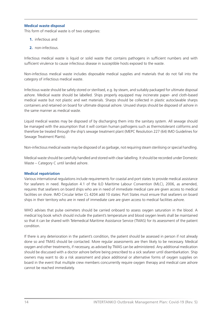#### **Medical waste disposal**

This form of medical waste is of two categories:

- **1.** infectious and
- **2.** non-infectious.

Infectious medical waste is liquid or solid waste that contains pathogens in sufficient numbers and with sufficient virulence to cause infectious disease in susceptible hosts exposed to the waste.

Non-infectious medical waste includes disposable medical supplies and materials that do not fall into the category of infectious medical waste.

Infectious waste should be safely stored or sterilised, e.g. by steam, and suitably packaged for ultimate disposal ashore. Medical waste should be labelled. Ships properly equipped may incinerate paper- and cloth-based medical waste but not plastic and wet materials. Sharps should be collected in plastic autoclavable sharps containers and retained on board for ultimate disposal ashore. Unused sharps should be disposed of ashore in the same manner as medical waste.

Liquid medical wastes may be disposed of by discharging them into the sanitary system. All sewage should be managed with the assumption that it will contain human pathogens such as thermotolerant coliforms and therefore be treated through the ship's sewage treatment plant (MEPC Resolution 227 (64) IMO Guidelines for Sewage Treatment Plants).

Non-infectious medical waste may be disposed of as garbage, not requiring steam sterilising or special handling.

Medical waste should be carefully handled and stored with clear labelling. It should be recorded under Domestic Waste – Category C until landed ashore.

#### **Medical repatriation**

Various international regulations include requirements for coastal and port states to provide medical assistance for seafarers in need. Regulation 4.1 of the ILO Maritime Labour Convention (MLC), 2006, as amended, requires that seafarers on board ships who are in need of immediate medical care are given access to medical facilities on shore. IMO Circular letter CL 4204 add 10 states: Port States must ensure that seafarers on board ships in their territory who are in need of immediate care are given access to medical facilities ashore.

WHO advises that pulse oximeters should be carried onboard to assess oxygen saturation in the blood. A medical log book which should include the patient's temperature and blood oxygen levels shall be maintained so that it can be shared with Telemedical Maritime Assistance Service (TMAS) for its assessment of the patient condition.

If there is any deterioration in the patient's condition, the patient should be assessed in person if not already done so and TMAS should be contacted. More regular assessments are then likely to be necessary. Medical oxygen and other treatments, if necessary, as advised by TMAS can be administered. Any additional medication should be discussed with a doctor ashore before being prescribed to a sick seafarer until disembarkation. Ship owners may want to do a risk assessment and place additional or alternative forms of oxygen supplies on board in the event that multiple crew members concurrently require oxygen therapy and medical care ashore cannot be reached immediately.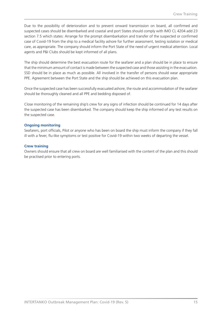Due to the possibility of deterioration and to prevent onward transmission on board, all confirmed and suspected cases should be disembarked and coastal and port States should comply with IMO CL 4204 add 23 section 7.5 which states: Arrange for the prompt disembarkation and transfer of the suspected or confirmed case of Covid-19 from the ship to a medical facility ashore for further assessment, testing isolation or medical care, as appropriate. The company should inform the Port State of the need of urgent medical attention. Local agents and P&I Clubs should be kept informed of all plans.

The ship should determine the best evacuation route for the seafarer and a plan should be in place to ensure that the minimum amount of contact is made between the suspected case and those assisting in the evacuation. SSD should be in place as much as possible. All involved in the transfer of persons should wear appropriate PPE. Agreement between the Port State and the ship should be achieved on this evacuation plan.

Once the suspected case has been successfully evacuated ashore, the route and accommodation of the seafarer should be thoroughly cleaned and all PPE and bedding disposed of.

Close monitoring of the remaining ship's crew for any signs of infection should be continued for 14 days after the suspected case has been disembarked. The company should keep the ship informed of any test results on the suspected case.

#### **Ongoing monitoring**

Seafarers, port officials, Pilot or anyone who has been on board the ship must inform the company if they fall ill with a fever, flu-like symptoms or test positive for Covid-19 within two weeks of departing the vessel.

#### **Crew training**

Owners should ensure that all crew on board are well familiarised with the content of the plan and this should be practised prior to entering ports.